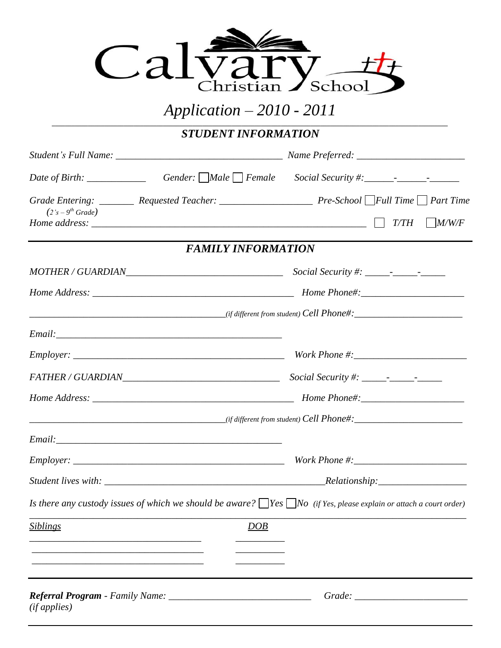

## *Application – 2010 - 2011 \_\_\_\_\_\_\_\_\_\_\_\_\_\_\_\_\_\_\_\_\_\_\_\_\_\_\_\_\_\_\_\_\_\_\_\_\_\_\_\_\_\_\_\_\_\_\_\_\_\_\_\_\_\_\_\_\_\_\_\_\_\_\_\_\_\_\_\_\_\_\_\_\_\_\_\_\_\_\_\_\_\_\_\_\_\_\_\_\_\_\_\_\_\_\_\_\_\_\_\_\_\_\_\_\_\_\_\_\_\_\_\_\_\_\_\_\_\_\_\_\_*

*STUDENT INFORMATION*

| $(2's - 9th Grade)$ |                           |                                                                                                                                |
|---------------------|---------------------------|--------------------------------------------------------------------------------------------------------------------------------|
|                     | <b>FAMILY INFORMATION</b> |                                                                                                                                |
|                     |                           |                                                                                                                                |
|                     |                           |                                                                                                                                |
|                     |                           |                                                                                                                                |
|                     |                           |                                                                                                                                |
|                     |                           |                                                                                                                                |
|                     |                           |                                                                                                                                |
|                     |                           |                                                                                                                                |
|                     |                           |                                                                                                                                |
|                     |                           |                                                                                                                                |
|                     |                           |                                                                                                                                |
|                     |                           |                                                                                                                                |
|                     |                           | Is there any custody issues of which we should be aware? $\Box$ Yes $\Box$ No (if Yes, please explain or attach a court order) |
| <u>Siblings</u>     | <u>DOB</u>                |                                                                                                                                |
|                     |                           |                                                                                                                                |
|                     |                           |                                                                                                                                |
| (ifapplies)         |                           |                                                                                                                                |